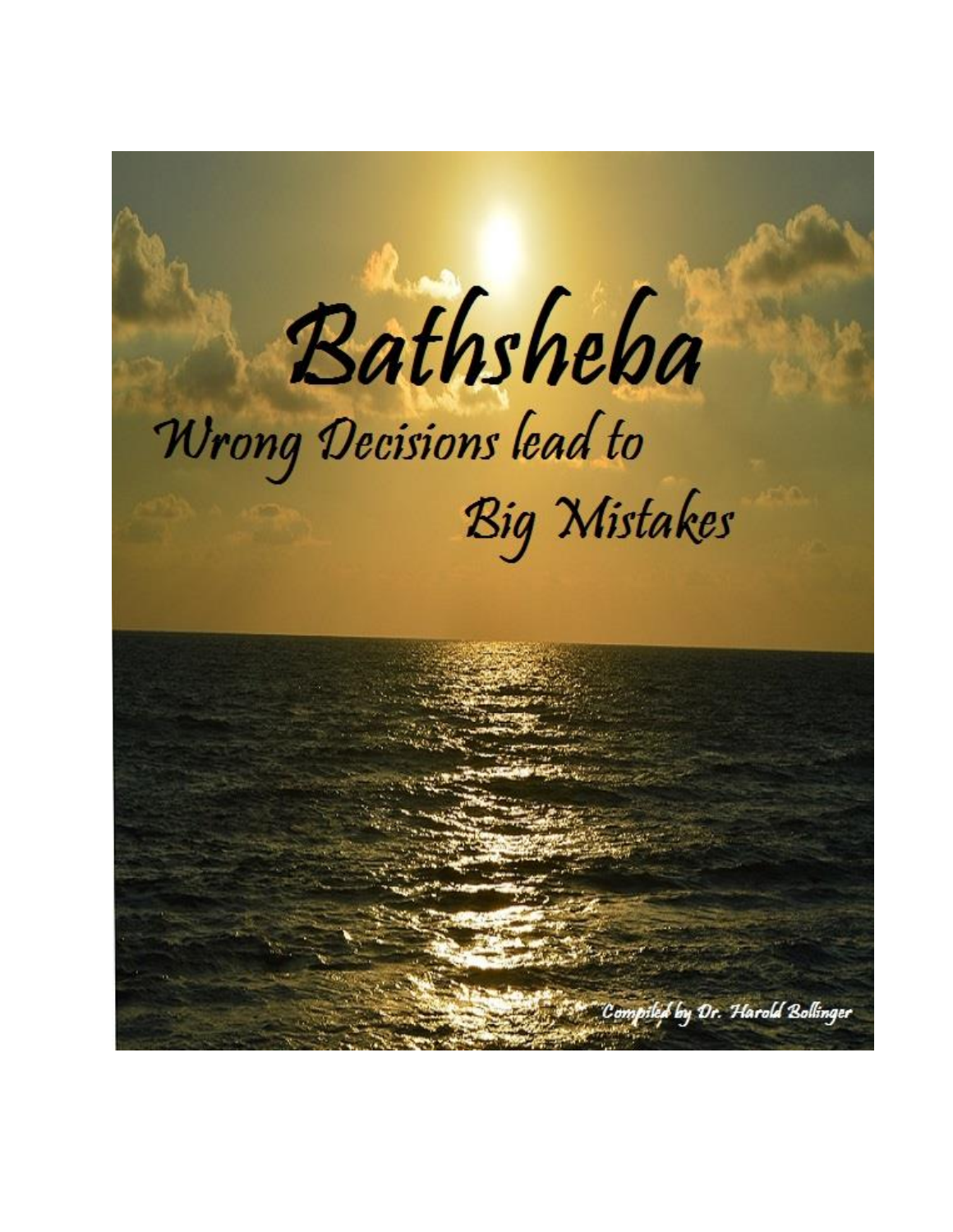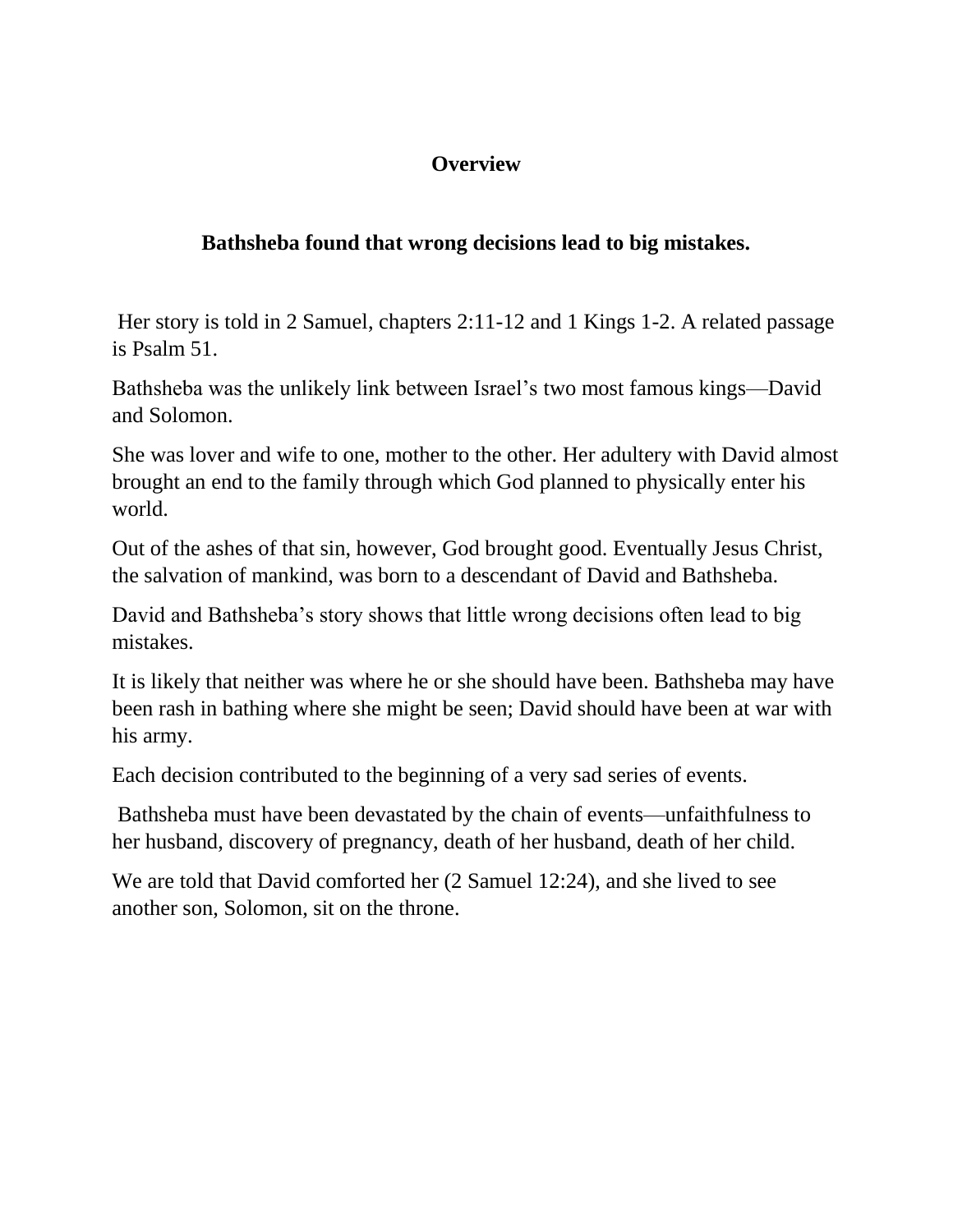# **Overview**

# **Bathsheba found that wrong decisions lead to big mistakes.**

Her story is told in 2 Samuel, chapters 2:11-12 and 1 Kings 1-2. A related passage is Psalm 51.

Bathsheba was the unlikely link between Israel's two most famous kings—David and Solomon.

She was lover and wife to one, mother to the other. Her adultery with David almost brought an end to the family through which God planned to physically enter his world.

Out of the ashes of that sin, however, God brought good. Eventually Jesus Christ, the salvation of mankind, was born to a descendant of David and Bathsheba.

David and Bathsheba's story shows that little wrong decisions often lead to big mistakes.

It is likely that neither was where he or she should have been. Bathsheba may have been rash in bathing where she might be seen; David should have been at war with his army.

Each decision contributed to the beginning of a very sad series of events.

Bathsheba must have been devastated by the chain of events—unfaithfulness to her husband, discovery of pregnancy, death of her husband, death of her child.

We are told that David comforted her (2 Samuel 12:24), and she lived to see another son, Solomon, sit on the throne.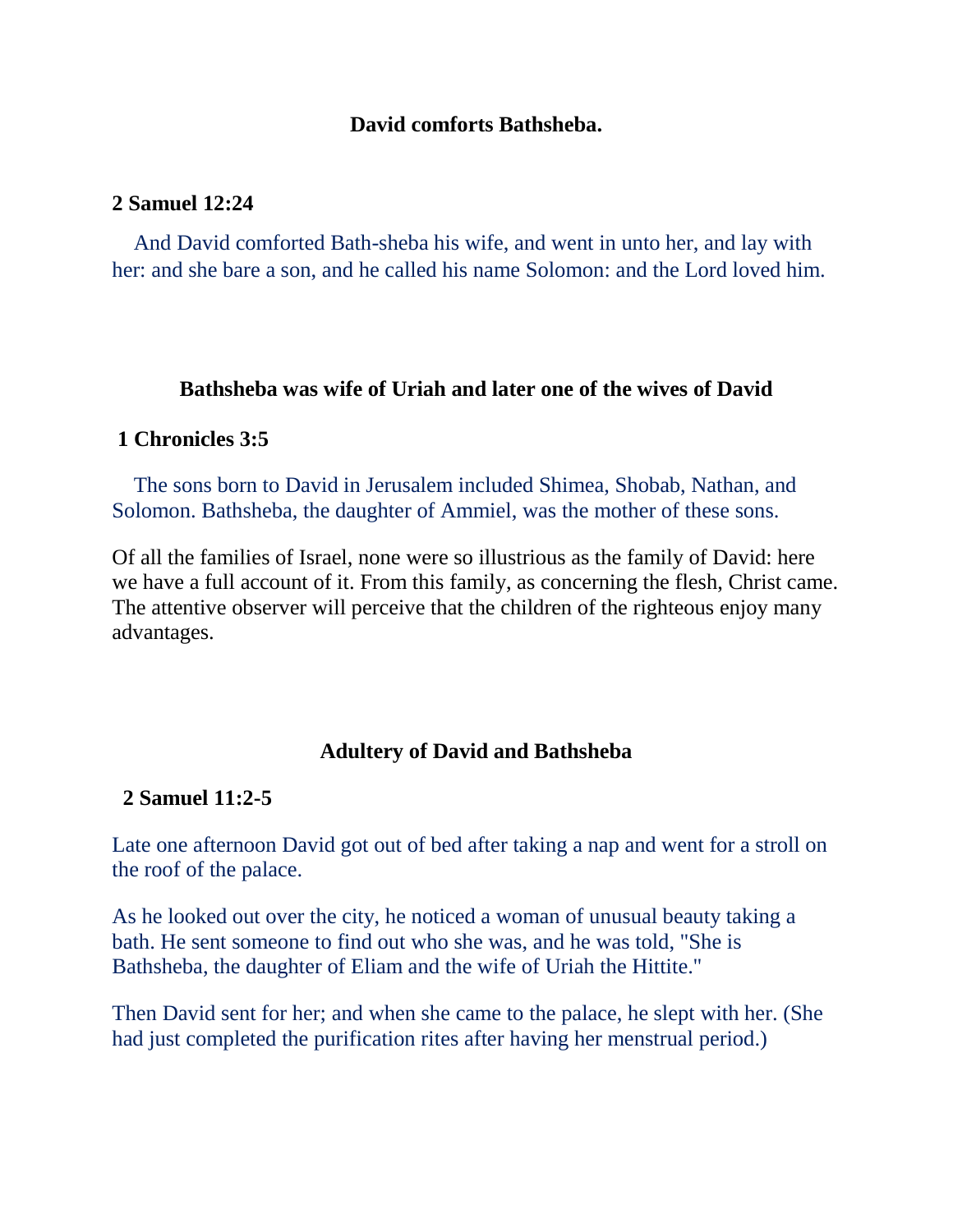#### **David comforts Bathsheba.**

#### **2 Samuel 12:24**

 And David comforted Bath-sheba his wife, and went in unto her, and lay with her: and she bare a son, and he called his name Solomon: and the Lord loved him.

#### **Bathsheba was wife of Uriah and later one of the wives of David**

#### **1 Chronicles 3:5**

 The sons born to David in Jerusalem included Shimea, Shobab, Nathan, and Solomon. Bathsheba, the daughter of Ammiel, was the mother of these sons.

Of all the families of Israel, none were so illustrious as the family of David: here we have a full account of it. From this family, as concerning the flesh, Christ came. The attentive observer will perceive that the children of the righteous enjoy many advantages.

## **Adultery of David and Bathsheba**

#### **2 Samuel 11:2-5**

Late one afternoon David got out of bed after taking a nap and went for a stroll on the roof of the palace.

As he looked out over the city, he noticed a woman of unusual beauty taking a bath. He sent someone to find out who she was, and he was told, "She is Bathsheba, the daughter of Eliam and the wife of Uriah the Hittite."

Then David sent for her; and when she came to the palace, he slept with her. (She had just completed the purification rites after having her menstrual period.)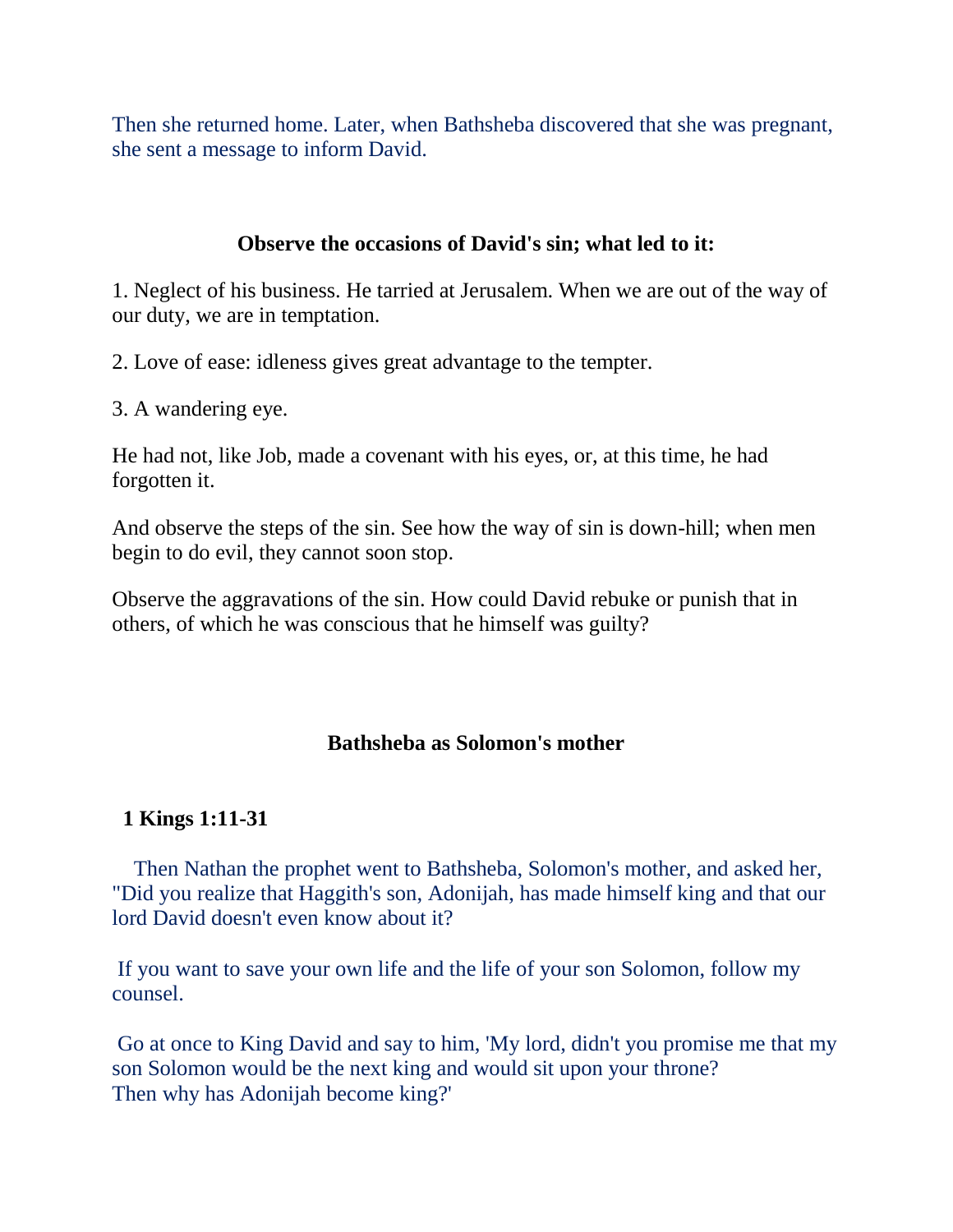Then she returned home. Later, when Bathsheba discovered that she was pregnant, she sent a message to inform David.

#### **Observe the occasions of David's sin; what led to it:**

1. Neglect of his business. He tarried at Jerusalem. When we are out of the way of our duty, we are in temptation.

2. Love of ease: idleness gives great advantage to the tempter.

3. A wandering eye.

He had not, like Job, made a covenant with his eyes, or, at this time, he had forgotten it.

And observe the steps of the sin. See how the way of sin is down-hill; when men begin to do evil, they cannot soon stop.

Observe the aggravations of the sin. How could David rebuke or punish that in others, of which he was conscious that he himself was guilty?

## **Bathsheba as Solomon's mother**

## **1 Kings 1:11-31**

 Then Nathan the prophet went to Bathsheba, Solomon's mother, and asked her, "Did you realize that Haggith's son, Adonijah, has made himself king and that our lord David doesn't even know about it?

If you want to save your own life and the life of your son Solomon, follow my counsel.

Go at once to King David and say to him, 'My lord, didn't you promise me that my son Solomon would be the next king and would sit upon your throne? Then why has Adonijah become king?'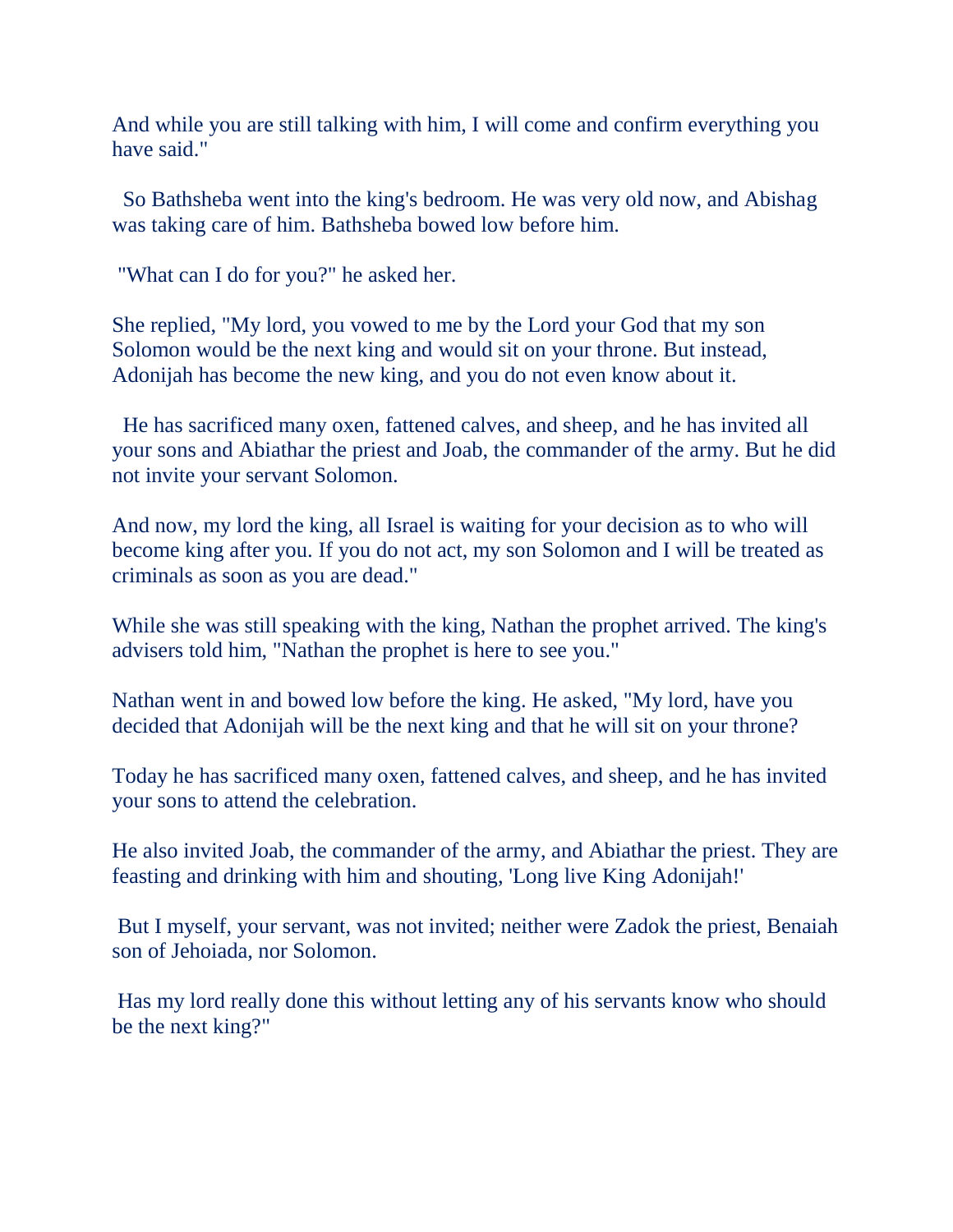And while you are still talking with him, I will come and confirm everything you have said."

So Bathsheba went into the king's bedroom. He was very old now, and Abishag was taking care of him. Bathsheba bowed low before him.

"What can I do for you?" he asked her.

She replied, "My lord, you vowed to me by the Lord your God that my son Solomon would be the next king and would sit on your throne. But instead, Adonijah has become the new king, and you do not even know about it.

He has sacrificed many oxen, fattened calves, and sheep, and he has invited all your sons and Abiathar the priest and Joab, the commander of the army. But he did not invite your servant Solomon.

And now, my lord the king, all Israel is waiting for your decision as to who will become king after you. If you do not act, my son Solomon and I will be treated as criminals as soon as you are dead."

While she was still speaking with the king, Nathan the prophet arrived. The king's advisers told him, "Nathan the prophet is here to see you."

Nathan went in and bowed low before the king. He asked, "My lord, have you decided that Adonijah will be the next king and that he will sit on your throne?

Today he has sacrificed many oxen, fattened calves, and sheep, and he has invited your sons to attend the celebration.

He also invited Joab, the commander of the army, and Abiathar the priest. They are feasting and drinking with him and shouting, 'Long live King Adonijah!'

But I myself, your servant, was not invited; neither were Zadok the priest, Benaiah son of Jehoiada, nor Solomon.

Has my lord really done this without letting any of his servants know who should be the next king?"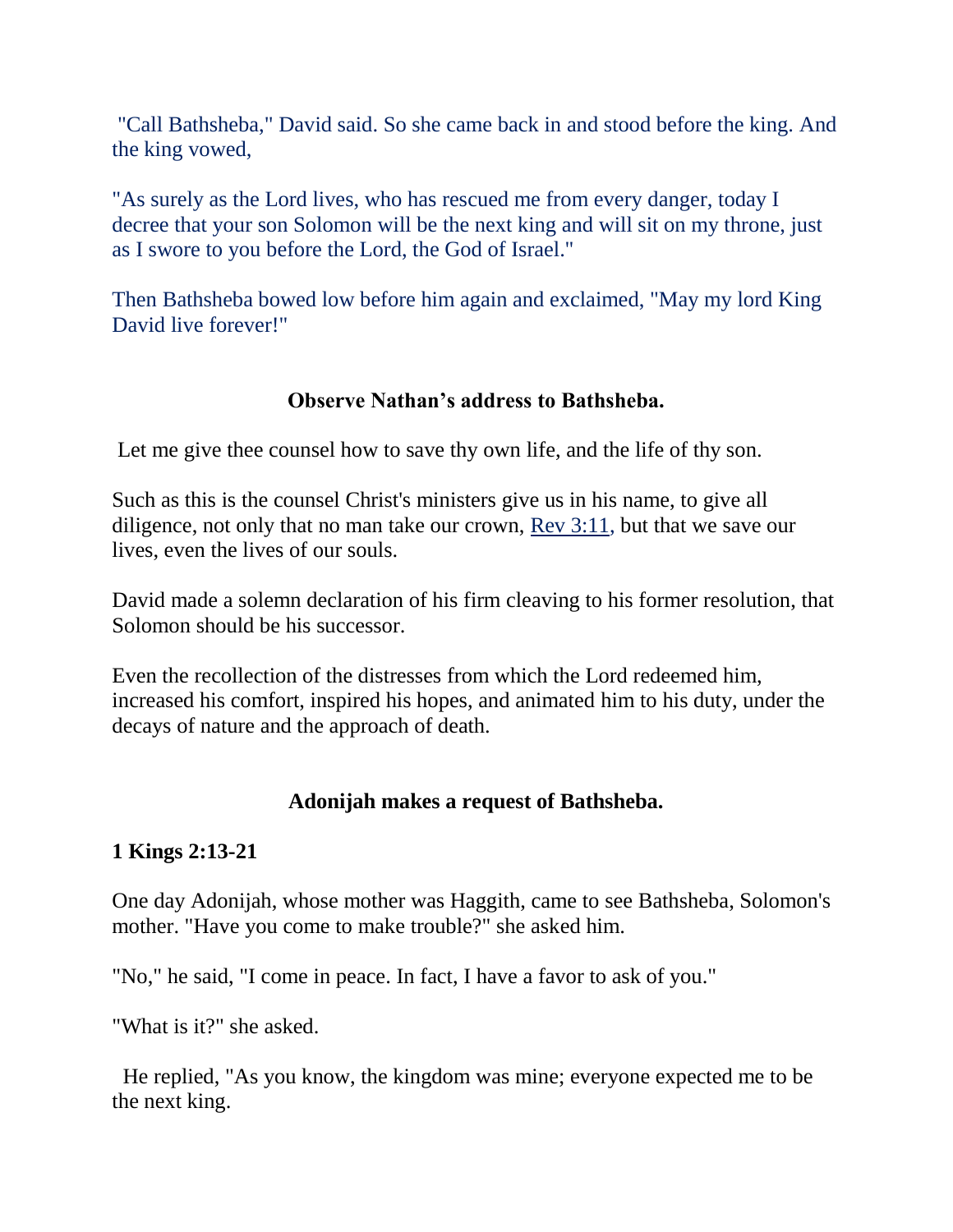"Call Bathsheba," David said. So she came back in and stood before the king. And the king vowed,

"As surely as the Lord lives, who has rescued me from every danger, today I decree that your son Solomon will be the next king and will sit on my throne, just as I swore to you before the Lord, the God of Israel."

Then Bathsheba bowed low before him again and exclaimed, "May my lord King David live forever!"

## **Observe Nathan's address to Bathsheba.**

Let me give thee counsel how to save thy own life, and the life of thy son.

Such as this is the counsel Christ's ministers give us in his name, to give all diligence, not only that no man take our crown, [Rev 3:11,](http://www.crossbooks.com/verse.asp?ref=Rev+3%3A11) but that we save our lives, even the lives of our souls.

David made a solemn declaration of his firm cleaving to his former resolution, that Solomon should be his successor.

Even the recollection of the distresses from which the Lord redeemed him, increased his comfort, inspired his hopes, and animated him to his duty, under the decays of nature and the approach of death.

## **Adonijah makes a request of Bathsheba.**

## **1 Kings 2:13-21**

One day Adonijah, whose mother was Haggith, came to see Bathsheba, Solomon's mother. "Have you come to make trouble?" she asked him.

"No," he said, "I come in peace. In fact, I have a favor to ask of you."

"What is it?" she asked.

He replied, "As you know, the kingdom was mine; everyone expected me to be the next king.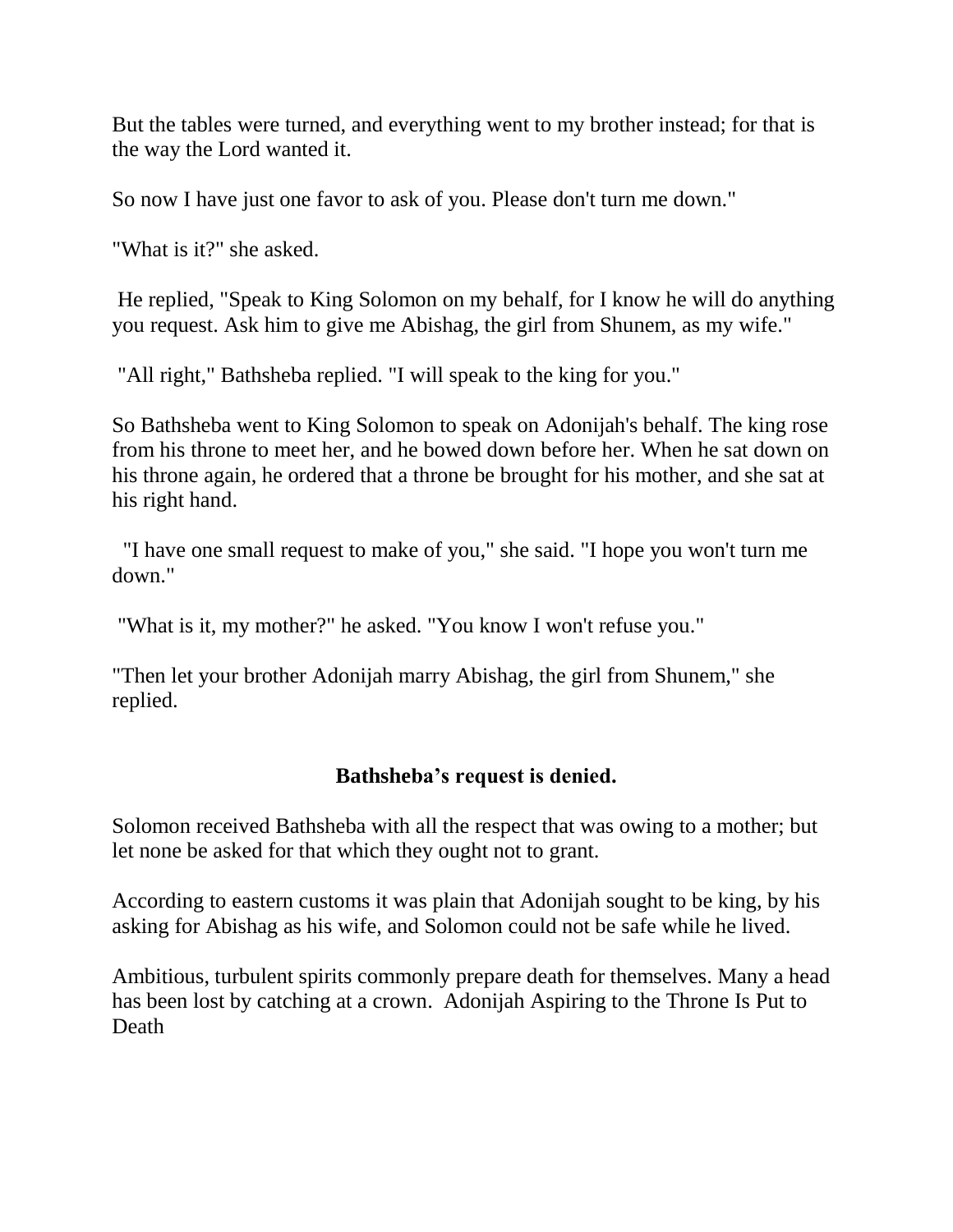But the tables were turned, and everything went to my brother instead; for that is the way the Lord wanted it.

So now I have just one favor to ask of you. Please don't turn me down."

"What is it?" she asked.

He replied, "Speak to King Solomon on my behalf, for I know he will do anything you request. Ask him to give me Abishag, the girl from Shunem, as my wife."

"All right," Bathsheba replied. "I will speak to the king for you."

So Bathsheba went to King Solomon to speak on Adonijah's behalf. The king rose from his throne to meet her, and he bowed down before her. When he sat down on his throne again, he ordered that a throne be brought for his mother, and she sat at his right hand.

"I have one small request to make of you," she said. "I hope you won't turn me down."

"What is it, my mother?" he asked. "You know I won't refuse you."

"Then let your brother Adonijah marry Abishag, the girl from Shunem," she replied.

# **Bathsheba's request is denied.**

Solomon received Bathsheba with all the respect that was owing to a mother; but let none be asked for that which they ought not to grant.

According to eastern customs it was plain that Adonijah sought to be king, by his asking for Abishag as his wife, and Solomon could not be safe while he lived.

Ambitious, turbulent spirits commonly prepare death for themselves. Many a head has been lost by catching at a crown. Adonijah Aspiring to the Throne Is Put to Death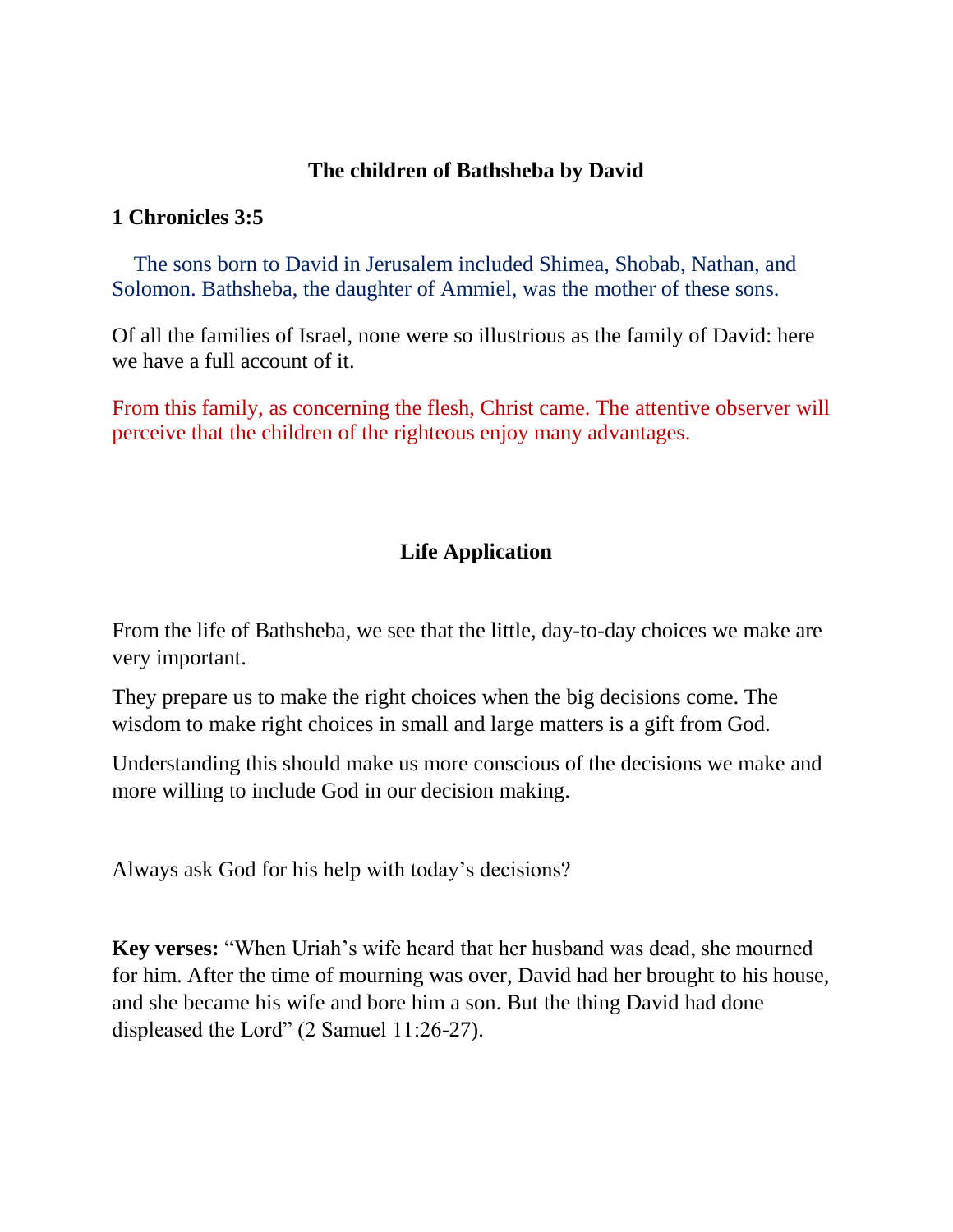#### **The children of Bathsheba by David**

#### **1 Chronicles 3:5**

 The sons born to David in Jerusalem included Shimea, Shobab, Nathan, and Solomon. Bathsheba, the daughter of Ammiel, was the mother of these sons.

Of all the families of Israel, none were so illustrious as the family of David: here we have a full account of it.

From this family, as concerning the flesh, Christ came. The attentive observer will perceive that the children of the righteous enjoy many advantages.

## **Life Application**

From the life of Bathsheba, we see that the little, day-to-day choices we make are very important.

They prepare us to make the right choices when the big decisions come. The wisdom to make right choices in small and large matters is a gift from God.

Understanding this should make us more conscious of the decisions we make and more willing to include God in our decision making.

Always ask God for his help with today's decisions?

**Key verses:** "When Uriah's wife heard that her husband was dead, she mourned for him. After the time of mourning was over, David had her brought to his house, and she became his wife and bore him a son. But the thing David had done displeased the Lord" (2 Samuel 11:26-27).